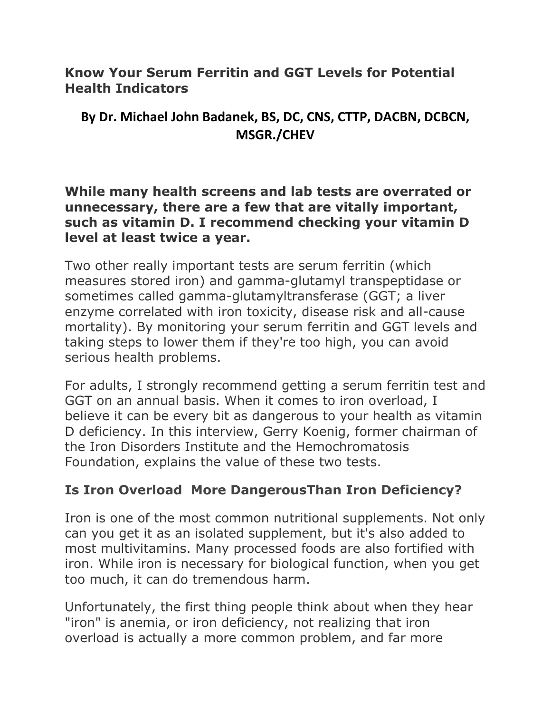**Know Your Serum Ferritin and GGT Levels for Potential Health Indicators**

# **By Dr. Michael John Badanek, BS, DC, CNS, CTTP, DACBN, DCBCN, MSGR./CHEV**

**While many health screens and lab tests are overrated or unnecessary, there are a few that are vitally important, such as vitamin D. I recommend checking your vitamin D level at least twice a year.**

Two other really important tests are serum ferritin (which measures stored iron) and gamma-glutamyl transpeptidase or sometimes called gamma-glutamyltransferase (GGT; a liver enzyme correlated with iron toxicity, disease risk and all-cause mortality). By monitoring your serum ferritin and GGT levels and taking steps to lower them if they're too high, you can avoid serious health problems.

For adults, I strongly recommend getting a serum ferritin test and GGT on an annual basis. When it comes to iron overload, I believe it can be every bit as dangerous to your health as vitamin D deficiency. In this interview, Gerry Koenig, former chairman of the Iron Disorders Institute and the Hemochromatosis Foundation, explains the value of these two tests.

# **Is Iron Overload More DangerousThan Iron Deficiency?**

Iron is one of the most common nutritional supplements. Not only can you get it as an isolated supplement, but it's also added to most multivitamins. Many processed foods are also fortified with iron. While iron is necessary for biological function, when you get too much, it can do tremendous harm.

Unfortunately, the first thing people think about when they hear "iron" is anemia, or iron deficiency, not realizing that iron overload is actually a more common problem, and far more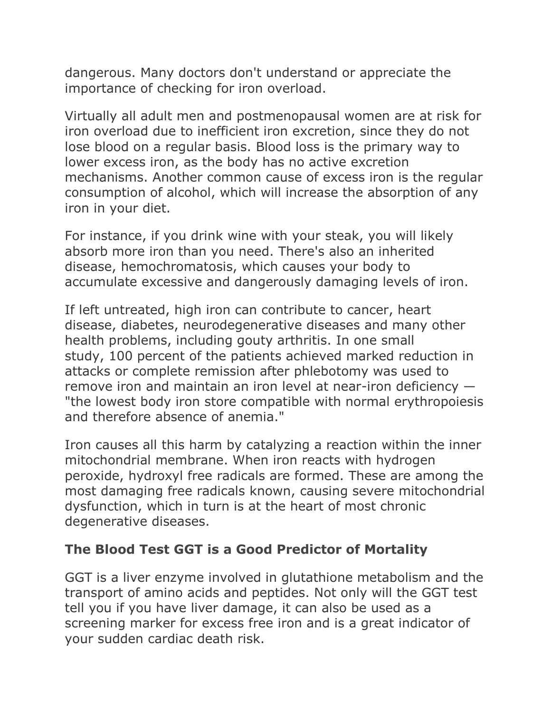dangerous. Many doctors don't understand or appreciate the importance of checking for iron overload.

Virtually all adult men and postmenopausal women are at risk for iron overload due to inefficient iron excretion, since they do not lose blood on a regular basis. Blood loss is the primary way to lower excess iron, as the body has no active excretion mechanisms. Another common cause of excess iron is the regular consumption of alcohol, which will increase the absorption of any iron in your diet.

For instance, if you drink wine with your steak, you will likely absorb more iron than you need. There's also an inherited disease, hemochromatosis, which causes your body to accumulate excessive and dangerously damaging levels of iron.

If left untreated, high iron can contribute to cancer, heart disease, diabetes, neurodegenerative diseases and many other health problems, including gouty arthritis. In one small study, 100 percent of the patients achieved marked reduction in attacks or complete remission after phlebotomy was used to remove iron and maintain an iron level at near-iron deficiency — "the lowest body iron store compatible with normal erythropoiesis and therefore absence of anemia."

Iron causes all this harm by catalyzing a reaction within the inner mitochondrial membrane. When iron reacts with hydrogen peroxide, hydroxyl free radicals are formed. These are among the most damaging free radicals known, causing severe mitochondrial dysfunction, which in turn is at the heart of most chronic degenerative diseases.

## **The Blood Test GGT is a Good Predictor of Mortality**

GGT is a liver enzyme involved in glutathione metabolism and the transport of amino acids and peptides. Not only will the GGT test tell you if you have liver damage, it can also be used as a screening marker for excess free iron and is a great indicator of your sudden cardiac death risk.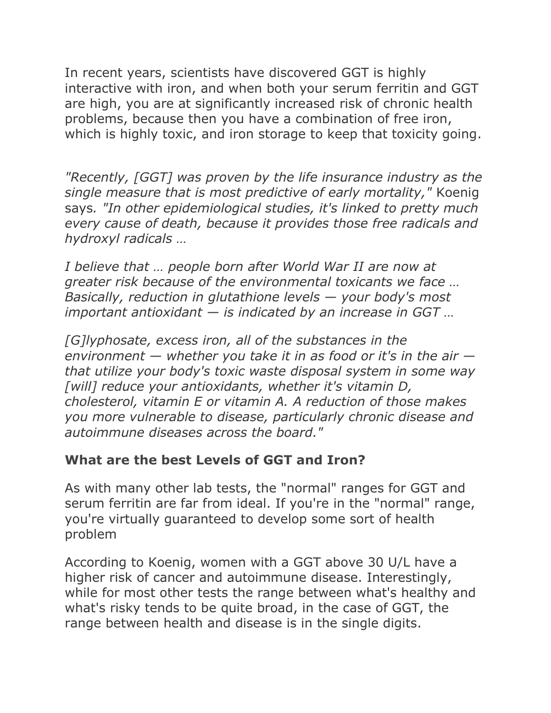In recent years, scientists have discovered GGT is highly interactive with iron, and when both your serum ferritin and GGT are high, you are at significantly increased risk of chronic health problems, because then you have a combination of free iron, which is highly toxic, and iron storage to keep that toxicity going[.](https://articles.mercola.com/sites/articles/archive/2017/09/20/monitoring-serum-ferritin-and-ggt.aspx?utm_source=dnl&utm_medium=email&utm_content=art1&utm_campaign=20170920Z1_UCM&et_cid=DM158871&et_rid=57664186#_edn3)

*"Recently, [GGT] was proven by the life insurance industry as the single measure that is most predictive of early mortality,"* Koenig says*. "In other epidemiological studies, it's linked to pretty much every cause of death, because it provides those free radicals and hydroxyl radicals …*

*I believe that … people born after World War II are now at greater risk because of the environmental toxicants we face … Basically, reduction in glutathione levels — your body's most important antioxidant — is indicated by an increase in GGT …*

*[G]lyphosate, excess iron, all of the substances in the environment — whether you take it in as food or it's in the air that utilize your body's toxic waste disposal system in some way [will] reduce your antioxidants, whether it's vitamin D, cholesterol, vitamin E or vitamin A. A reduction of those makes you more vulnerable to disease, particularly chronic disease and autoimmune diseases across the board."*

#### **What are the best Levels of GGT and Iron?**

As with many other lab tests, the "normal" ranges for GGT and serum ferritin are far from ideal. If you're in the "normal" range, you're virtually guaranteed to develop some sort of health problem

According to Koenig, women with a GGT above 30 U/L have a higher risk of cancer and autoimmune disease. Interestingly, while for most other tests the range between what's healthy and what's risky tends to be quite broad, in the case of GGT, the range between health and disease is in the single digits.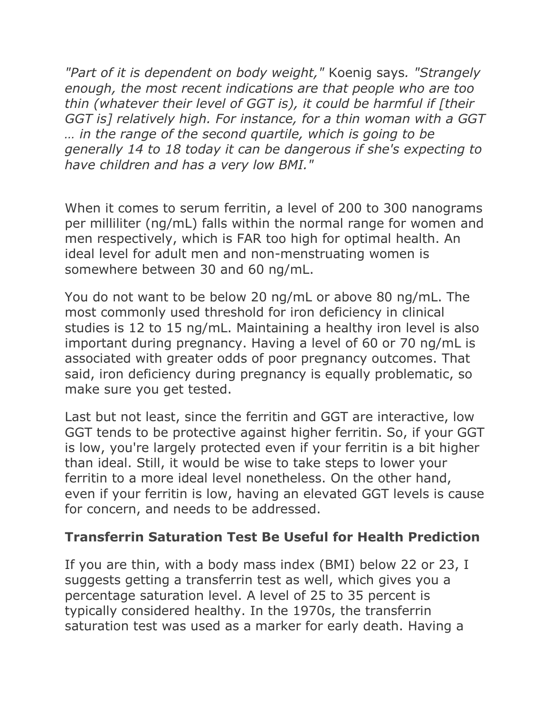*"Part of it is dependent on body weight,"* Koenig says*. "Strangely enough, the most recent indications are that people who are too thin (whatever their level of GGT is), it could be harmful if [their GGT is] relatively high. For instance, for a thin woman with a GGT … in the range of the second quartile, which is going to be generally 14 to 18 today it can be dangerous if she's expecting to have children and has a very low BMI.["](https://articles.mercola.com/sites/articles/archive/2017/09/20/monitoring-serum-ferritin-and-ggt.aspx?utm_source=dnl&utm_medium=email&utm_content=art1&utm_campaign=20170920Z1_UCM&et_cid=DM158871&et_rid=57664186#_edn10)*

When it comes to serum ferritin, a level of 200 to 300 nanograms per milliliter (ng/mL) falls within the normal range for women and men respectively, which is FAR too high for optimal health. An ideal level for adult men and non-menstruating women is somewhere between 30 and 60 ng/mL.

You do not want to be below 20 ng/mL or above 80 ng/mL. The most commonly used threshold for iron deficiency in clinical studies is 12 to 15 ng/mL. Maintaining a healthy iron level is also important during pregnancy. Having a level of 60 or 70 ng/mL is associated with greater odds of poor pregnancy outcomes. That said, iron deficiency during pregnancy is equally problematic, so make sure you get tested.

Last but not least, since the ferritin and GGT are interactive, low GGT tends to be protective against higher ferritin. So, if your GGT is low, you're largely protected even if your ferritin is a bit higher than ideal. Still, it would be wise to take steps to lower your ferritin to a more ideal level nonetheless. On the other hand, even if your ferritin is low, having an elevated GGT levels is cause for concern, and needs to be addressed.

#### **Transferrin Saturation Test Be Useful for Health Prediction**

If you are thin, with a body mass index (BMI) below 22 or 23, I suggests getting a transferrin test as well, which gives you a percentage saturation level. A level of 25 to 35 percent is typically considered healthy. In the 1970s, the transferrin saturation test was used as a marker for early death. Having a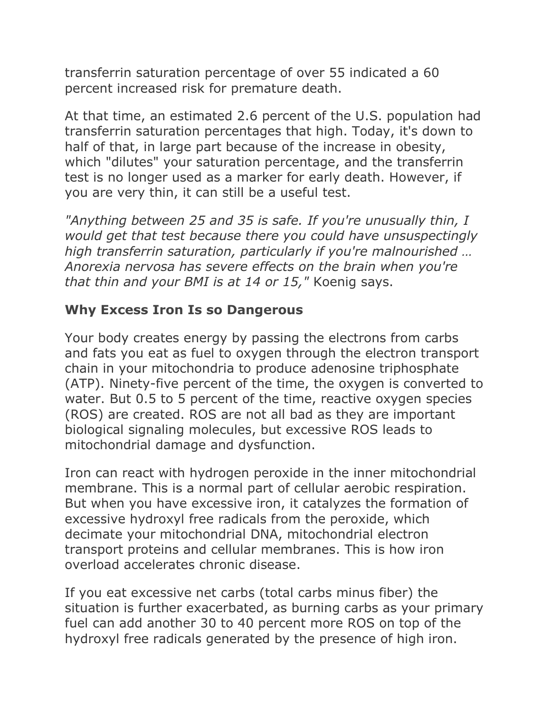transferrin saturation percentage of over 55 indicated a 60 percent increased risk for premature death.

At that time, an estimated 2.6 percent of the U.S. population had transferrin saturation percentages that high. Today, it's down to half of that, in large part because of the increase in obesity, which "dilutes" your saturation percentage, and the transferrin test is no longer used as a marker for early death. However, if you are very thin, it can still be a useful test.

*"Anything between 25 and 35 is safe. If you're unusually thin, I would get that test because there you could have unsuspectingly high transferrin saturation, particularly if you're malnourished … Anorexia nervosa has severe effects on the brain when you're that thin and your BMI is at 14 or 15,"* Koenig says.

### **Why Excess Iron Is so Dangerous**

Your body creates energy by passing the electrons from carbs and fats you eat as fuel to oxygen through the electron transport chain in your mitochondria to produce adenosine triphosphate (ATP). Ninety-five percent of the time, the oxygen is converted to water. But 0.5 to 5 percent of the time, reactive oxygen species (ROS) are created. ROS are not all bad as they are important biological signaling molecules, but excessive ROS leads to mitochondrial damage and dysfunction.

Iron can react with hydrogen peroxide in the inner mitochondrial membrane. This is a normal part of cellular aerobic respiration. But when you have excessive iron, it catalyzes the formation of excessive hydroxyl free radicals from the peroxide, which decimate your mitochondrial DNA, mitochondrial electron transport proteins and cellular membranes. This is how iron overload accelerates chronic disease.

If you eat excessive net carbs (total carbs minus fiber) the situation is further exacerbated, as burning carbs as your primary fuel can add another 30 to 40 percent more ROS on top of the hydroxyl free radicals generated by the presence of high iron.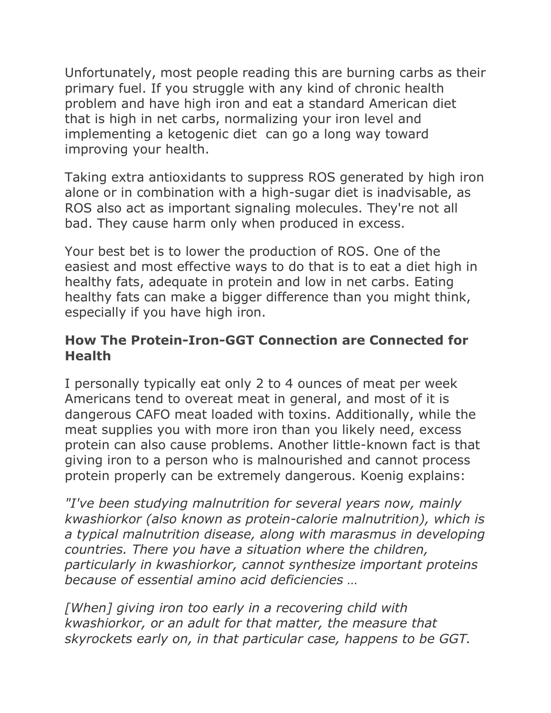Unfortunately, most people reading this are burning carbs as their primary fuel. If you struggle with any kind of chronic health problem and have high iron and eat a standard American diet that is high in net carbs, normalizing your iron level and implementing a ketogenic diet can go a long way toward improving your health.

Taking extra antioxidants to suppress ROS generated by high iron alone or in combination with a high-sugar diet is inadvisable, as ROS also act as important signaling molecules. They're not all bad. They cause harm only when produced in excess.

Your best bet is to lower the production of ROS. One of the easiest and most effective ways to do that is to eat a diet high in healthy fats, adequate in protein and low in net carbs. Eating healthy fats can make a bigger difference than you might think, especially if you have high iron.

## **How The Protein-Iron-GGT Connection are Connected for Health**

I personally typically eat only 2 to 4 ounces of meat per week Americans tend to overeat meat in general, and most of it is dangerous CAFO meat loaded with toxins. Additionally, while the meat supplies you with more iron than you likely need, excess protein can also cause problems. Another little-known fact is that giving iron to a person who is malnourished and cannot process protein properly can be extremely dangerous. Koenig explains:

*"I've been studying malnutrition for several years now, mainly kwashiorkor (also known as protein-calorie malnutrition), which is a typical malnutrition disease, along with marasmus in developing countries. There you have a situation where the children, particularly in kwashiorkor, cannot synthesize important proteins because of essential amino acid deficiencies …*

*[When] giving iron too early in a recovering child with kwashiorkor, or an adult for that matter, the measure that skyrockets early on, in that particular case, happens to be GGT.*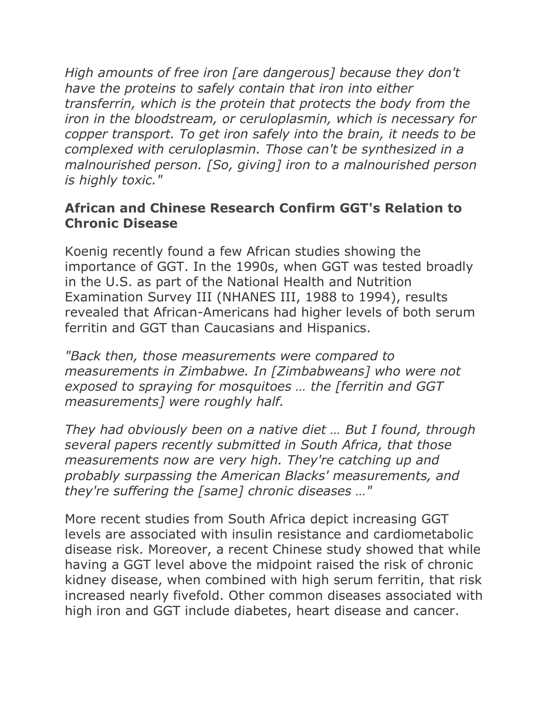*High amounts of free iron [are dangerous] because they don't have the proteins to safely contain that iron into either transferrin, which is the protein that protects the body from the iron in the bloodstream, or ceruloplasmin, which is necessary for copper transport. To get iron safely into the brain, it needs to be complexed with ceruloplasmin. Those can't be synthesized in a malnourished person. [So, giving] iron to a malnourished person is highly toxic."*

### **African and Chinese Research Confirm GGT's Relation to Chronic Disease**

Koenig recently found a few African studies showing the importance of GGT. In the 1990s, when GGT was tested broadly in the U.S. as part of the National Health and Nutrition Examination Survey III (NHANES III, 1988 to 1994), results revealed that African-Americans had higher levels of both serum ferritin and GGT than Caucasians and Hispanics.

*"Back then, those measurements were compared to measurements in Zimbabwe. In [Zimbabweans] who were not exposed to spraying for mosquitoes … the [ferritin and GGT measurements] were roughly half.*

*They had obviously been on a native diet … But I found, through several papers recently submitted in South Africa, that those measurements now are very high. They're catching up and probably surpassing the American Blacks' measurements, and they're suffering the [same] chronic diseases …"*

More recent studies from South Africa depict increasing GGT levels are associated with insulin resistance and cardiometabolic disease risk. Moreover, a recent Chinese study showed that while having a GGT level above the midpoint raised the risk of chronic kidney disease, when combined with high serum ferritin, that risk increased nearly fivefold. Other common diseases associated with high iron and GGT include diabetes, heart disease and cancer.